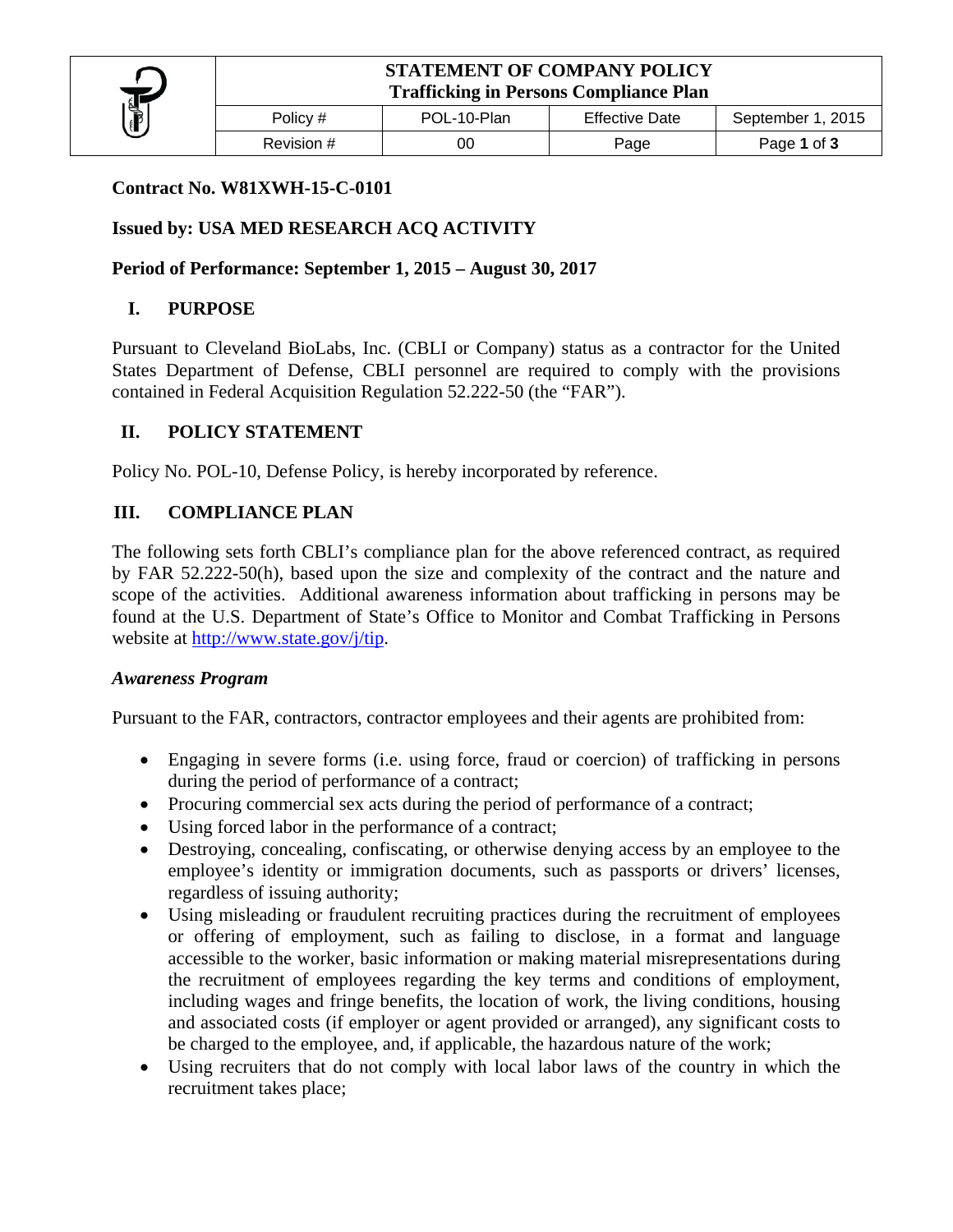

| Policy #   | POL-10-Plan | <b>Effective Date</b> | September 1, 2015 |
|------------|-------------|-----------------------|-------------------|
| Revision # |             | Page                  | Page 1 of 3       |

#### **Contract No. W81XWH-15-C-0101**

### **Issued by: USA MED RESEARCH ACQ ACTIVITY**

#### **Period of Performance: September 1, 2015 – August 30, 2017**

#### **I. PURPOSE**

Pursuant to Cleveland BioLabs, Inc. (CBLI or Company) status as a contractor for the United States Department of Defense, CBLI personnel are required to comply with the provisions contained in Federal Acquisition Regulation 52.222-50 (the "FAR").

#### **II. POLICY STATEMENT**

Policy No. POL-10, Defense Policy, is hereby incorporated by reference.

#### **III. COMPLIANCE PLAN**

The following sets forth CBLI's compliance plan for the above referenced contract, as required by FAR 52.222-50(h), based upon the size and complexity of the contract and the nature and scope of the activities. Additional awareness information about trafficking in persons may be found at the U.S. Department of State's Office to Monitor and Combat Trafficking in Persons website at http://www.state.gov/j/tip.

#### *Awareness Program*

Pursuant to the FAR, contractors, contractor employees and their agents are prohibited from:

- Engaging in severe forms (i.e. using force, fraud or coercion) of trafficking in persons during the period of performance of a contract;
- Procuring commercial sex acts during the period of performance of a contract;
- Using forced labor in the performance of a contract;
- Destroying, concealing, confiscating, or otherwise denying access by an employee to the employee's identity or immigration documents, such as passports or drivers' licenses, regardless of issuing authority;
- Using misleading or fraudulent recruiting practices during the recruitment of employees or offering of employment, such as failing to disclose, in a format and language accessible to the worker, basic information or making material misrepresentations during the recruitment of employees regarding the key terms and conditions of employment, including wages and fringe benefits, the location of work, the living conditions, housing and associated costs (if employer or agent provided or arranged), any significant costs to be charged to the employee, and, if applicable, the hazardous nature of the work;
- Using recruiters that do not comply with local labor laws of the country in which the recruitment takes place;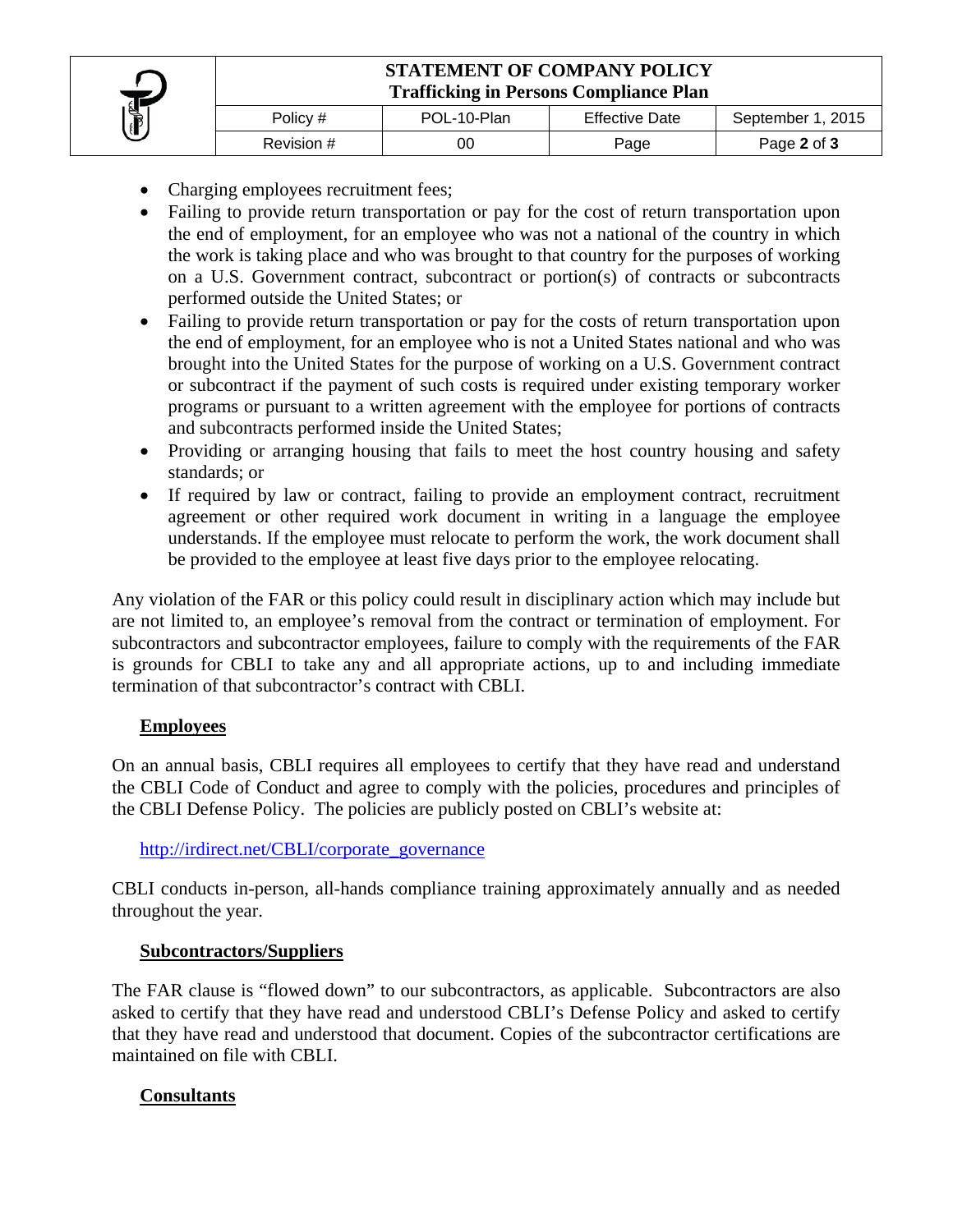

# **STATEMENT OF COMPANY POLICY Trafficking in Persons Compliance Plan**

| Policy #   | POL-10-Plan | Effective Date | September 1, 2015 |
|------------|-------------|----------------|-------------------|
| Revision # | 00          | Page           | Page 2 of 3       |

- Charging employees recruitment fees;
- Failing to provide return transportation or pay for the cost of return transportation upon the end of employment, for an employee who was not a national of the country in which the work is taking place and who was brought to that country for the purposes of working on a U.S. Government contract, subcontract or portion(s) of contracts or subcontracts performed outside the United States; or
- Failing to provide return transportation or pay for the costs of return transportation upon the end of employment, for an employee who is not a United States national and who was brought into the United States for the purpose of working on a U.S. Government contract or subcontract if the payment of such costs is required under existing temporary worker programs or pursuant to a written agreement with the employee for portions of contracts and subcontracts performed inside the United States;
- Providing or arranging housing that fails to meet the host country housing and safety standards; or
- If required by law or contract, failing to provide an employment contract, recruitment agreement or other required work document in writing in a language the employee understands. If the employee must relocate to perform the work, the work document shall be provided to the employee at least five days prior to the employee relocating.

Any violation of the FAR or this policy could result in disciplinary action which may include but are not limited to, an employee's removal from the contract or termination of employment. For subcontractors and subcontractor employees, failure to comply with the requirements of the FAR is grounds for CBLI to take any and all appropriate actions, up to and including immediate termination of that subcontractor's contract with CBLI.

#### **Employees**

On an annual basis, CBLI requires all employees to certify that they have read and understand the CBLI Code of Conduct and agree to comply with the policies, procedures and principles of the CBLI Defense Policy. The policies are publicly posted on CBLI's website at:

#### http://irdirect.net/CBLI/corporate\_governance

CBLI conducts in-person, all-hands compliance training approximately annually and as needed throughout the year.

## **Subcontractors/Suppliers**

The FAR clause is "flowed down" to our subcontractors, as applicable. Subcontractors are also asked to certify that they have read and understood CBLI's Defense Policy and asked to certify that they have read and understood that document. Copies of the subcontractor certifications are maintained on file with CBLI.

#### **Consultants**